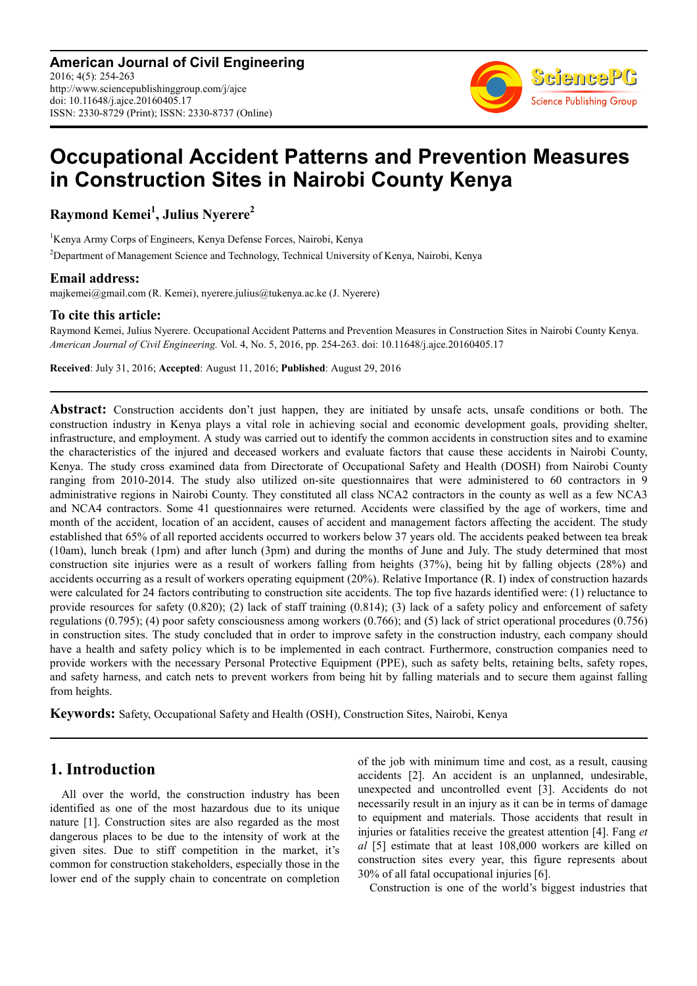**American Journal of Civil Engineering** 2016; 4(5): 254-263 http://www.sciencepublishinggroup.com/j/ajce doi: 10.11648/j.ajce.20160405.17 ISSN: 2330-8729 (Print); ISSN: 2330-8737 (Online)



# **Occupational Accident Patterns and Prevention Measures in Construction Sites in Nairobi County Kenya**

**Raymond Kemei<sup>1</sup> , Julius Nyerere<sup>2</sup>**

<sup>1</sup>Kenya Army Corps of Engineers, Kenya Defense Forces, Nairobi, Kenya <sup>2</sup>Department of Management Science and Technology, Technical University of Kenya, Nairobi, Kenya

## **Email address:**

majkemei@gmail.com (R. Kemei), nyerere.julius@tukenya.ac.ke (J. Nyerere)

## **To cite this article:**

Raymond Kemei, Julius Nyerere. Occupational Accident Patterns and Prevention Measures in Construction Sites in Nairobi County Kenya. *American Journal of Civil Engineering.* Vol. 4, No. 5, 2016, pp. 254-263. doi: 10.11648/j.ajce.20160405.17

**Received**: July 31, 2016; **Accepted**: August 11, 2016; **Published**: August 29, 2016

**Abstract:** Construction accidents don't just happen, they are initiated by unsafe acts, unsafe conditions or both. The construction industry in Kenya plays a vital role in achieving social and economic development goals, providing shelter, infrastructure, and employment. A study was carried out to identify the common accidents in construction sites and to examine the characteristics of the injured and deceased workers and evaluate factors that cause these accidents in Nairobi County, Kenya. The study cross examined data from Directorate of Occupational Safety and Health (DOSH) from Nairobi County ranging from 2010-2014. The study also utilized on-site questionnaires that were administered to 60 contractors in 9 administrative regions in Nairobi County. They constituted all class NCA2 contractors in the county as well as a few NCA3 and NCA4 contractors. Some 41 questionnaires were returned. Accidents were classified by the age of workers, time and month of the accident, location of an accident, causes of accident and management factors affecting the accident. The study established that 65% of all reported accidents occurred to workers below 37 years old. The accidents peaked between tea break (10am), lunch break (1pm) and after lunch (3pm) and during the months of June and July. The study determined that most construction site injuries were as a result of workers falling from heights (37%), being hit by falling objects (28%) and accidents occurring as a result of workers operating equipment (20%). Relative Importance (R. I) index of construction hazards were calculated for 24 factors contributing to construction site accidents. The top five hazards identified were: (1) reluctance to provide resources for safety (0.820); (2) lack of staff training (0.814); (3) lack of a safety policy and enforcement of safety regulations (0.795); (4) poor safety consciousness among workers (0.766); and (5) lack of strict operational procedures (0.756) in construction sites. The study concluded that in order to improve safety in the construction industry, each company should have a health and safety policy which is to be implemented in each contract. Furthermore, construction companies need to provide workers with the necessary Personal Protective Equipment (PPE), such as safety belts, retaining belts, safety ropes, and safety harness, and catch nets to prevent workers from being hit by falling materials and to secure them against falling from heights.

**Keywords:** Safety, Occupational Safety and Health (OSH), Construction Sites, Nairobi, Kenya

# **1. Introduction**

All over the world, the construction industry has been identified as one of the most hazardous due to its unique nature [1]. Construction sites are also regarded as the most dangerous places to be due to the intensity of work at the given sites. Due to stiff competition in the market, it's common for construction stakeholders, especially those in the lower end of the supply chain to concentrate on completion of the job with minimum time and cost, as a result, causing accidents [2]. An accident is an unplanned, undesirable, unexpected and uncontrolled event [3]. Accidents do not necessarily result in an injury as it can be in terms of damage to equipment and materials. Those accidents that result in injuries or fatalities receive the greatest attention [4]. Fang *et al* [5] estimate that at least 108,000 workers are killed on construction sites every year, this figure represents about 30% of all fatal occupational injuries [6].

Construction is one of the world's biggest industries that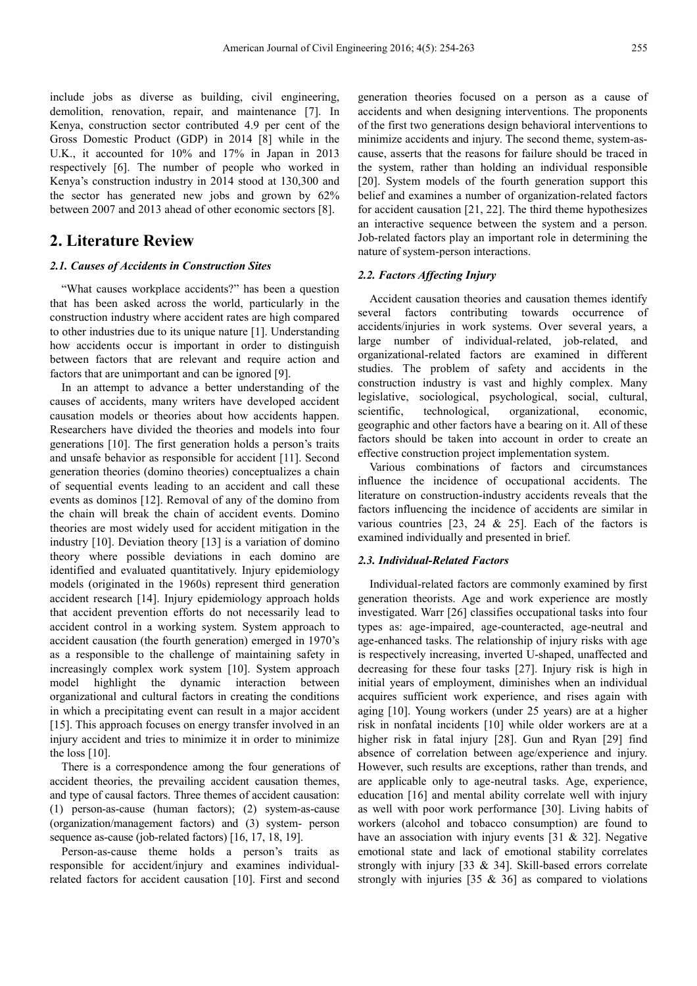include jobs as diverse as building, civil engineering, demolition, renovation, repair, and maintenance [7]. In Kenya, construction sector contributed 4.9 per cent of the Gross Domestic Product (GDP) in 2014 [8] while in the U.K., it accounted for 10% and 17% in Japan in 2013 respectively [6]. The number of people who worked in Kenya's construction industry in 2014 stood at 130,300 and the sector has generated new jobs and grown by 62% between 2007 and 2013 ahead of other economic sectors [8].

## **2. Literature Review**

## *2.1. Causes of Accidents in Construction Sites*

"What causes workplace accidents?" has been a question that has been asked across the world, particularly in the construction industry where accident rates are high compared to other industries due to its unique nature [1]. Understanding how accidents occur is important in order to distinguish between factors that are relevant and require action and factors that are unimportant and can be ignored [9].

In an attempt to advance a better understanding of the causes of accidents, many writers have developed accident causation models or theories about how accidents happen. Researchers have divided the theories and models into four generations [10]. The first generation holds a person's traits and unsafe behavior as responsible for accident [11]. Second generation theories (domino theories) conceptualizes a chain of sequential events leading to an accident and call these events as dominos [12]. Removal of any of the domino from the chain will break the chain of accident events. Domino theories are most widely used for accident mitigation in the industry [10]. Deviation theory [13] is a variation of domino theory where possible deviations in each domino are identified and evaluated quantitatively. Injury epidemiology models (originated in the 1960s) represent third generation accident research [14]. Injury epidemiology approach holds that accident prevention efforts do not necessarily lead to accident control in a working system. System approach to accident causation (the fourth generation) emerged in 1970's as a responsible to the challenge of maintaining safety in increasingly complex work system [10]. System approach model highlight the dynamic interaction between organizational and cultural factors in creating the conditions in which a precipitating event can result in a major accident [15]. This approach focuses on energy transfer involved in an injury accident and tries to minimize it in order to minimize the loss [10].

There is a correspondence among the four generations of accident theories, the prevailing accident causation themes, and type of causal factors. Three themes of accident causation: (1) person-as-cause (human factors); (2) system-as-cause (organization/management factors) and (3) system- person sequence as-cause (job-related factors) [16, 17, 18, 19].

Person-as-cause theme holds a person's traits as responsible for accident/injury and examines individualrelated factors for accident causation [10]. First and second generation theories focused on a person as a cause of accidents and when designing interventions. The proponents of the first two generations design behavioral interventions to minimize accidents and injury. The second theme, system-ascause, asserts that the reasons for failure should be traced in the system, rather than holding an individual responsible [20]. System models of the fourth generation support this belief and examines a number of organization-related factors for accident causation [21, 22]. The third theme hypothesizes an interactive sequence between the system and a person. Job-related factors play an important role in determining the nature of system-person interactions.

## *2.2. Factors Affecting Injury*

Accident causation theories and causation themes identify several factors contributing towards occurrence of accidents/injuries in work systems. Over several years, a large number of individual-related, job-related, and organizational-related factors are examined in different studies. The problem of safety and accidents in the construction industry is vast and highly complex. Many legislative, sociological, psychological, social, cultural, scientific, technological, organizational, economic, geographic and other factors have a bearing on it. All of these factors should be taken into account in order to create an effective construction project implementation system.

Various combinations of factors and circumstances influence the incidence of occupational accidents. The literature on construction-industry accidents reveals that the factors influencing the incidence of accidents are similar in various countries  $[23, 24 \& 25]$ . Each of the factors is examined individually and presented in brief.

#### *2.3. Individual-Related Factors*

Individual-related factors are commonly examined by first generation theorists. Age and work experience are mostly investigated. Warr [26] classifies occupational tasks into four types as: age-impaired, age-counteracted, age-neutral and age-enhanced tasks. The relationship of injury risks with age is respectively increasing, inverted U-shaped, unaffected and decreasing for these four tasks [27]. Injury risk is high in initial years of employment, diminishes when an individual acquires sufficient work experience, and rises again with aging [10]. Young workers (under 25 years) are at a higher risk in nonfatal incidents [10] while older workers are at a higher risk in fatal injury [28]. Gun and Ryan [29] find absence of correlation between age/experience and injury. However, such results are exceptions, rather than trends, and are applicable only to age-neutral tasks. Age, experience, education [16] and mental ability correlate well with injury as well with poor work performance [30]. Living habits of workers (alcohol and tobacco consumption) are found to have an association with injury events  $[31 \& 32]$ . Negative emotional state and lack of emotional stability correlates strongly with injury [33 & 34]. Skill-based errors correlate strongly with injuries [35 & 36] as compared to violations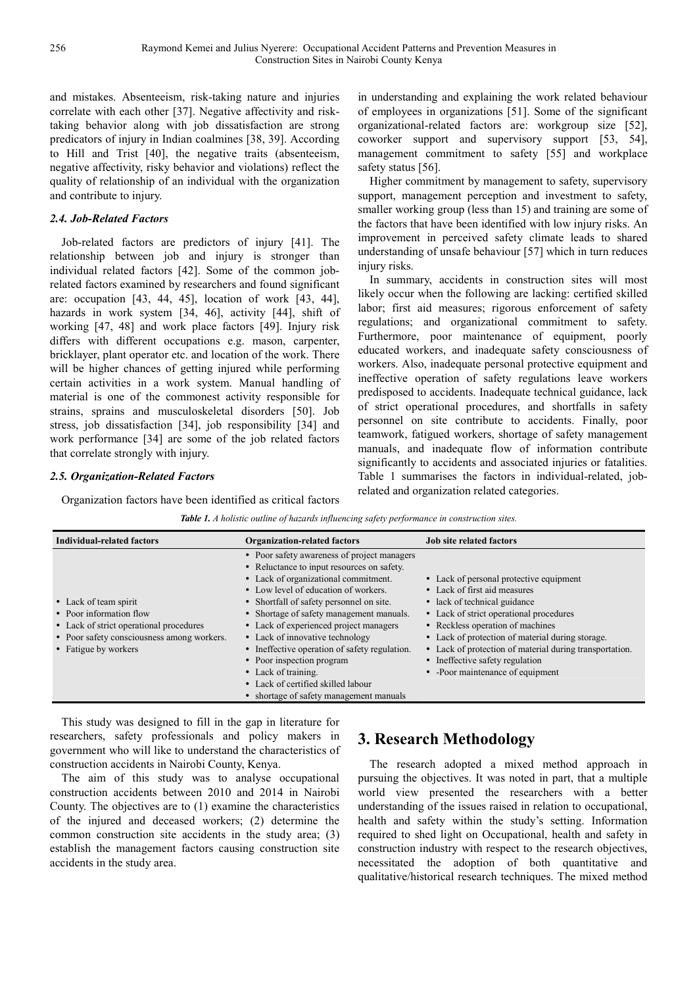and mistakes. Absenteeism, risk-taking nature and injuries correlate with each other [37]. Negative affectivity and risktaking behavior along with job dissatisfaction are strong predicators of injury in Indian coalmines [38, 39]. According to Hill and Trist [40], the negative traits (absenteeism, negative affectivity, risky behavior and violations) reflect the quality of relationship of an individual with the organization and contribute to injury.

## *2.4. Job-Related Factors*

Job-related factors are predictors of injury [41]. The relationship between job and injury is stronger than individual related factors [42]. Some of the common jobrelated factors examined by researchers and found significant are: occupation [43, 44, 45], location of work [43, 44], hazards in work system [34, 46], activity [44], shift of working [47, 48] and work place factors [49]. Injury risk differs with different occupations e.g. mason, carpenter, bricklayer, plant operator etc. and location of the work. There will be higher chances of getting injured while performing certain activities in a work system. Manual handling of material is one of the commonest activity responsible for strains, sprains and musculoskeletal disorders [50]. Job stress, job dissatisfaction [34], job responsibility [34] and work performance [34] are some of the job related factors that correlate strongly with injury.

## *2.5. Organization-Related Factors*

Organization factors have been identified as critical factors

in understanding and explaining the work related behaviour of employees in organizations [51]. Some of the significant organizational-related factors are: workgroup size [52], coworker support and supervisory support [53, 54], management commitment to safety [55] and workplace safety status [56].

Higher commitment by management to safety, supervisory support, management perception and investment to safety, smaller working group (less than 15) and training are some of the factors that have been identified with low injury risks. An improvement in perceived safety climate leads to shared understanding of unsafe behaviour [57] which in turn reduces injury risks.

In summary, accidents in construction sites will most likely occur when the following are lacking: certified skilled labor; first aid measures; rigorous enforcement of safety regulations; and organizational commitment to safety. Furthermore, poor maintenance of equipment, poorly educated workers, and inadequate safety consciousness of workers. Also, inadequate personal protective equipment and ineffective operation of safety regulations leave workers predisposed to accidents. Inadequate technical guidance, lack of strict operational procedures, and shortfalls in safety personnel on site contribute to accidents. Finally, poor teamwork, fatigued workers, shortage of safety management manuals, and inadequate flow of information contribute significantly to accidents and associated injuries or fatalities. Table 1 summarises the factors in individual-related, jobrelated and organization related categories.

| Table 1. A holistic outline of hazards influencing safety performance in construction sites. |
|----------------------------------------------------------------------------------------------|
|                                                                                              |

| <b>Individual-related factors</b>                                                                                                                                 | <b>Organization-related factors</b>                                                                                                                                                                                                                                                                                                                                                                                                                                                                                                  | <b>Job site related factors</b>                                                                                                                                                                                                                                                                                                                                             |  |
|-------------------------------------------------------------------------------------------------------------------------------------------------------------------|--------------------------------------------------------------------------------------------------------------------------------------------------------------------------------------------------------------------------------------------------------------------------------------------------------------------------------------------------------------------------------------------------------------------------------------------------------------------------------------------------------------------------------------|-----------------------------------------------------------------------------------------------------------------------------------------------------------------------------------------------------------------------------------------------------------------------------------------------------------------------------------------------------------------------------|--|
| • Lack of team spirit<br>• Poor information flow<br>• Lack of strict operational procedures<br>• Poor safety consciousness among workers.<br>• Fatigue by workers | • Poor safety awareness of project managers<br>• Reluctance to input resources on safety.<br>• Lack of organizational commitment.<br>• Low level of education of workers.<br>• Shortfall of safety personnel on site.<br>• Shortage of safety management manuals.<br>• Lack of experienced project managers<br>• Lack of innovative technology<br>• Ineffective operation of safety regulation.<br>• Poor inspection program<br>• Lack of training.<br>• Lack of certified skilled labour<br>• shortage of safety management manuals | • Lack of personal protective equipment<br>• Lack of first aid measures<br>• lack of technical guidance<br>• Lack of strict operational procedures<br>• Reckless operation of machines<br>• Lack of protection of material during storage.<br>• Lack of protection of material during transportation.<br>• Ineffective safety regulation<br>• Poor maintenance of equipment |  |

This study was designed to fill in the gap in literature for researchers, safety professionals and policy makers in government who will like to understand the characteristics of construction accidents in Nairobi County, Kenya.

The aim of this study was to analyse occupational construction accidents between 2010 and 2014 in Nairobi County. The objectives are to (1) examine the characteristics of the injured and deceased workers; (2) determine the common construction site accidents in the study area; (3) establish the management factors causing construction site accidents in the study area.

# **3. Research Methodology**

The research adopted a mixed method approach in pursuing the objectives. It was noted in part, that a multiple world view presented the researchers with a better understanding of the issues raised in relation to occupational, health and safety within the study's setting. Information required to shed light on Occupational, health and safety in construction industry with respect to the research objectives, necessitated the adoption of both quantitative and qualitative/historical research techniques. The mixed method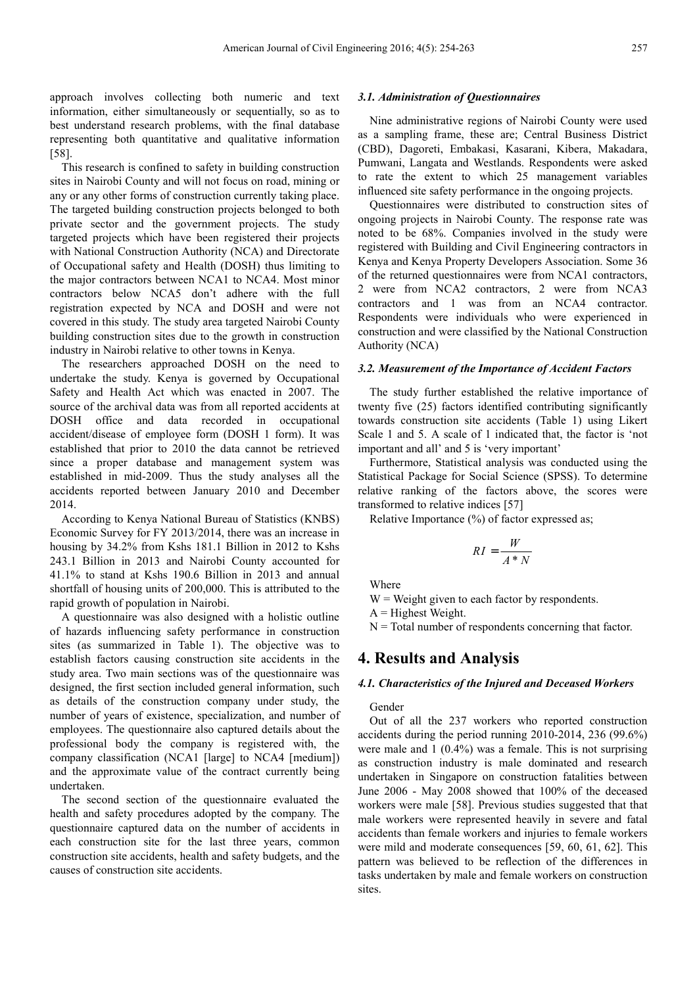approach involves collecting both numeric and text information, either simultaneously or sequentially, so as to best understand research problems, with the final database representing both quantitative and qualitative information [58].

This research is confined to safety in building construction sites in Nairobi County and will not focus on road, mining or any or any other forms of construction currently taking place. The targeted building construction projects belonged to both private sector and the government projects. The study targeted projects which have been registered their projects with National Construction Authority (NCA) and Directorate of Occupational safety and Health (DOSH) thus limiting to the major contractors between NCA1 to NCA4. Most minor contractors below NCA5 don't adhere with the full registration expected by NCA and DOSH and were not covered in this study. The study area targeted Nairobi County building construction sites due to the growth in construction industry in Nairobi relative to other towns in Kenya.

The researchers approached DOSH on the need to undertake the study. Kenya is governed by Occupational Safety and Health Act which was enacted in 2007. The source of the archival data was from all reported accidents at DOSH office and data recorded in occupational accident/disease of employee form (DOSH 1 form). It was established that prior to 2010 the data cannot be retrieved since a proper database and management system was established in mid-2009. Thus the study analyses all the accidents reported between January 2010 and December 2014.

According to Kenya National Bureau of Statistics (KNBS) Economic Survey for FY 2013/2014, there was an increase in housing by 34.2% from Kshs 181.1 Billion in 2012 to Kshs 243.1 Billion in 2013 and Nairobi County accounted for 41.1% to stand at Kshs 190.6 Billion in 2013 and annual shortfall of housing units of 200,000. This is attributed to the rapid growth of population in Nairobi.

A questionnaire was also designed with a holistic outline of hazards influencing safety performance in construction sites (as summarized in Table 1). The objective was to establish factors causing construction site accidents in the study area. Two main sections was of the questionnaire was designed, the first section included general information, such as details of the construction company under study, the number of years of existence, specialization, and number of employees. The questionnaire also captured details about the professional body the company is registered with, the company classification (NCA1 [large] to NCA4 [medium]) and the approximate value of the contract currently being undertaken.

The second section of the questionnaire evaluated the health and safety procedures adopted by the company. The questionnaire captured data on the number of accidents in each construction site for the last three years, common construction site accidents, health and safety budgets, and the causes of construction site accidents.

## *3.1. Administration of Questionnaires*

Nine administrative regions of Nairobi County were used as a sampling frame, these are; Central Business District (CBD), Dagoreti, Embakasi, Kasarani, Kibera, Makadara, Pumwani, Langata and Westlands. Respondents were asked to rate the extent to which 25 management variables influenced site safety performance in the ongoing projects.

Questionnaires were distributed to construction sites of ongoing projects in Nairobi County. The response rate was noted to be 68%. Companies involved in the study were registered with Building and Civil Engineering contractors in Kenya and Kenya Property Developers Association. Some 36 of the returned questionnaires were from NCA1 contractors, 2 were from NCA2 contractors, 2 were from NCA3 contractors and 1 was from an NCA4 contractor. Respondents were individuals who were experienced in construction and were classified by the National Construction Authority (NCA)

#### *3.2. Measurement of the Importance of Accident Factors*

The study further established the relative importance of twenty five (25) factors identified contributing significantly towards construction site accidents (Table 1) using Likert Scale 1 and 5. A scale of 1 indicated that, the factor is 'not important and all' and 5 is 'very important'

Furthermore, Statistical analysis was conducted using the Statistical Package for Social Science (SPSS). To determine relative ranking of the factors above, the scores were transformed to relative indices [57]

Relative Importance (%) of factor expressed as;

$$
RI = \frac{W}{A*N}
$$

Where

 $W = Weight$  given to each factor by respondents.

 $A =$  Highest Weight.

 $N =$  Total number of respondents concerning that factor.

## **4. Results and Analysis**

#### *4.1. Characteristics of the Injured and Deceased Workers*

Gender

Out of all the 237 workers who reported construction accidents during the period running 2010-2014, 236 (99.6%) were male and 1 (0.4%) was a female. This is not surprising as construction industry is male dominated and research undertaken in Singapore on construction fatalities between June 2006 - May 2008 showed that 100% of the deceased workers were male [58]. Previous studies suggested that that male workers were represented heavily in severe and fatal accidents than female workers and injuries to female workers were mild and moderate consequences [59, 60, 61, 62]. This pattern was believed to be reflection of the differences in tasks undertaken by male and female workers on construction sites.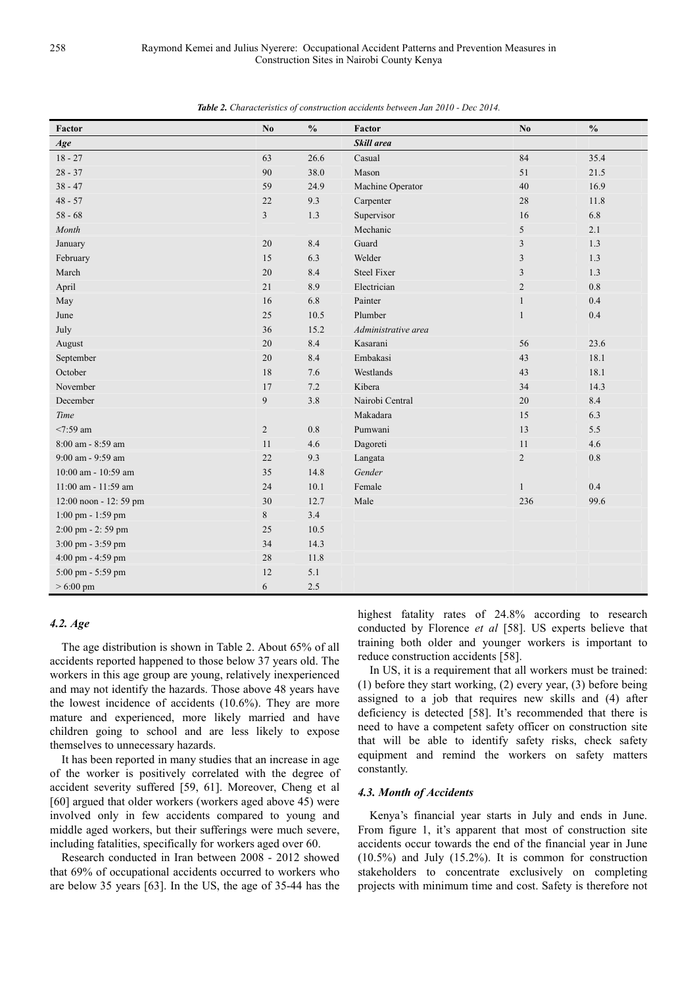| Factor                | No             | $\mathbf{0}_{\mathbf{0}}^{\prime}$ | Factor              | N <sub>0</sub> | $\frac{0}{0}$ |
|-----------------------|----------------|------------------------------------|---------------------|----------------|---------------|
| Age                   |                |                                    | Skill area          |                |               |
| $18 - 27$             | 63             | 26.6                               | Casual              | 84             | 35.4          |
| $28 - 37$             | 90             | 38.0                               | Mason               | 51             | 21.5          |
| $38 - 47$             | 59             | 24.9                               | Machine Operator    | 40             | 16.9          |
| $48 - 57$             | 22             | 9.3                                | Carpenter           | 28             | 11.8          |
| $58 - 68$             | 3              | 1.3                                | Supervisor          | 16             | 6.8           |
| Month                 |                |                                    | Mechanic            | 5              | 2.1           |
| January               | 20             | 8.4                                | Guard               | $\overline{3}$ | 1.3           |
| February              | 15             | 6.3                                | Welder              | $\mathfrak{Z}$ | 1.3           |
| March                 | 20             | 8.4                                | <b>Steel Fixer</b>  | 3              | 1.3           |
| April                 | 21             | 8.9                                | Electrician         | $\overline{2}$ | $0.8\,$       |
| May                   | 16             | 6.8                                | Painter             | $\mathbf{1}$   | 0.4           |
| June                  | 25             | 10.5                               | Plumber             | $\mathbf{1}$   | 0.4           |
| July                  | 36             | 15.2                               | Administrative area |                |               |
| August                | 20             | 8.4                                | Kasarani            | 56             | 23.6          |
| September             | $20\,$         | 8.4                                | Embakasi            | 43             | 18.1          |
| October               | 18             | 7.6                                | Westlands           | 43             | 18.1          |
| November              | 17             | 7.2                                | Kibera              | 34             | 14.3          |
| December              | 9              | 3.8                                | Nairobi Central     | 20             | 8.4           |
| Time                  |                |                                    | Makadara            | 15             | 6.3           |
| $<7:59$ am            | $\overline{c}$ | $0.8\,$                            | Pumwani             | 13             | 5.5           |
| 8:00 am - 8:59 am     | 11             | 4.6                                | Dagoreti            | 11             | 4.6           |
| 9:00 am - 9:59 am     | 22             | 9.3                                | Langata             | $\overline{2}$ | $0.8\,$       |
| 10:00 am - 10:59 am   | 35             | 14.8                               | Gender              |                |               |
| 11:00 am - 11:59 am   | 24             | 10.1                               | Female              | $\mathbf{1}$   | 0.4           |
| 12:00 noon - 12:59 pm | 30             | 12.7                               | Male                | 236            | 99.6          |
| 1:00 pm - 1:59 pm     | $\,8\,$        | 3.4                                |                     |                |               |
| 2:00 pm - 2:59 pm     | 25             | 10.5                               |                     |                |               |
| 3:00 pm - 3:59 pm     | 34             | 14.3                               |                     |                |               |
| 4:00 pm - 4:59 pm     | 28             | 11.8                               |                     |                |               |
| 5:00 pm - 5:59 pm     | 12             | 5.1                                |                     |                |               |
| $> 6:00 \text{ pm}$   | 6              | 2.5                                |                     |                |               |

*Table 2. Characteristics of construction accidents between Jan 2010 - Dec 2014.* 

## *4.2. Age*

The age distribution is shown in Table 2. About 65% of all accidents reported happened to those below 37 years old. The workers in this age group are young, relatively inexperienced and may not identify the hazards. Those above 48 years have the lowest incidence of accidents (10.6%). They are more mature and experienced, more likely married and have children going to school and are less likely to expose themselves to unnecessary hazards.

It has been reported in many studies that an increase in age of the worker is positively correlated with the degree of accident severity suffered [59, 61]. Moreover, Cheng et al [60] argued that older workers (workers aged above 45) were involved only in few accidents compared to young and middle aged workers, but their sufferings were much severe, including fatalities, specifically for workers aged over 60.

Research conducted in Iran between 2008 - 2012 showed that 69% of occupational accidents occurred to workers who are below 35 years [63]. In the US, the age of 35-44 has the

highest fatality rates of 24.8% according to research conducted by Florence *et al* [58]. US experts believe that training both older and younger workers is important to reduce construction accidents [58].

In US, it is a requirement that all workers must be trained: (1) before they start working, (2) every year, (3) before being assigned to a job that requires new skills and (4) after deficiency is detected [58]. It's recommended that there is need to have a competent safety officer on construction site that will be able to identify safety risks, check safety equipment and remind the workers on safety matters constantly.

#### *4.3. Month of Accidents*

Kenya's financial year starts in July and ends in June. From figure 1, it's apparent that most of construction site accidents occur towards the end of the financial year in June (10.5%) and July (15.2%). It is common for construction stakeholders to concentrate exclusively on completing projects with minimum time and cost. Safety is therefore not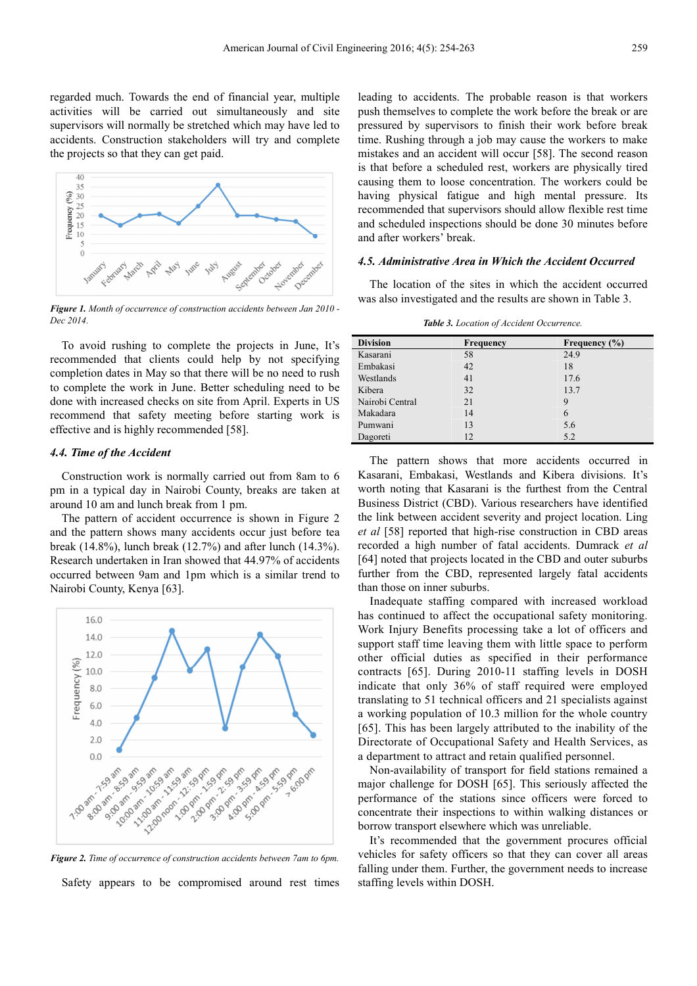regarded much. Towards the end of financial year, multiple activities will be carried out simultaneously and site supervisors will normally be stretched which may have led to accidents. Construction stakeholders will try and complete the projects so that they can get paid.



*Figure 1. Month of occurrence of construction accidents between Jan 2010 - Dec 2014.* 

To avoid rushing to complete the projects in June, It's recommended that clients could help by not specifying completion dates in May so that there will be no need to rush to complete the work in June. Better scheduling need to be done with increased checks on site from April. Experts in US recommend that safety meeting before starting work is effective and is highly recommended [58].

### *4.4. Time of the Accident*

Construction work is normally carried out from 8am to 6 pm in a typical day in Nairobi County, breaks are taken at around 10 am and lunch break from 1 pm.

The pattern of accident occurrence is shown in Figure 2 and the pattern shows many accidents occur just before tea break (14.8%), lunch break (12.7%) and after lunch (14.3%). Research undertaken in Iran showed that 44.97% of accidents occurred between 9am and 1pm which is a similar trend to Nairobi County, Kenya [63].



*Figure 2. Time of occurrence of construction accidents between 7am to 6pm.*  Safety appears to be compromised around rest times

leading to accidents. The probable reason is that workers push themselves to complete the work before the break or are pressured by supervisors to finish their work before break time. Rushing through a job may cause the workers to make mistakes and an accident will occur [58]. The second reason is that before a scheduled rest, workers are physically tired causing them to loose concentration. The workers could be having physical fatigue and high mental pressure. Its recommended that supervisors should allow flexible rest time and scheduled inspections should be done 30 minutes before and after workers' break.

#### *4.5. Administrative Area in Which the Accident Occurred*

The location of the sites in which the accident occurred was also investigated and the results are shown in Table 3.

*Table 3. Location of Accident Occurrence.* 

| <b>Division</b> | Frequency | Frequency $(\% )$ |
|-----------------|-----------|-------------------|
| Kasarani        | 58        | 24.9              |
| Embakasi        | 42        | 18                |
| Westlands       | 41        | 17.6              |
| Kibera          | 32        | 13.7              |
| Nairobi Central | 21        | 9                 |
| Makadara        | 14        | 6                 |
| Pumwani         | 13        | 5.6               |
| Dagoreti        | 12        | 5.2               |

The pattern shows that more accidents occurred in Kasarani, Embakasi, Westlands and Kibera divisions. It's worth noting that Kasarani is the furthest from the Central Business District (CBD). Various researchers have identified the link between accident severity and project location. Ling *et al* [58] reported that high-rise construction in CBD areas recorded a high number of fatal accidents. Dumrack *et al* [64] noted that projects located in the CBD and outer suburbs further from the CBD, represented largely fatal accidents than those on inner suburbs.

Inadequate staffing compared with increased workload has continued to affect the occupational safety monitoring. Work Injury Benefits processing take a lot of officers and support staff time leaving them with little space to perform other official duties as specified in their performance contracts [65]. During 2010-11 staffing levels in DOSH indicate that only 36% of staff required were employed translating to 51 technical officers and 21 specialists against a working population of 10.3 million for the whole country [65]. This has been largely attributed to the inability of the Directorate of Occupational Safety and Health Services, as a department to attract and retain qualified personnel.

Non-availability of transport for field stations remained a major challenge for DOSH [65]. This seriously affected the performance of the stations since officers were forced to concentrate their inspections to within walking distances or borrow transport elsewhere which was unreliable.

It's recommended that the government procures official vehicles for safety officers so that they can cover all areas falling under them. Further, the government needs to increase staffing levels within DOSH.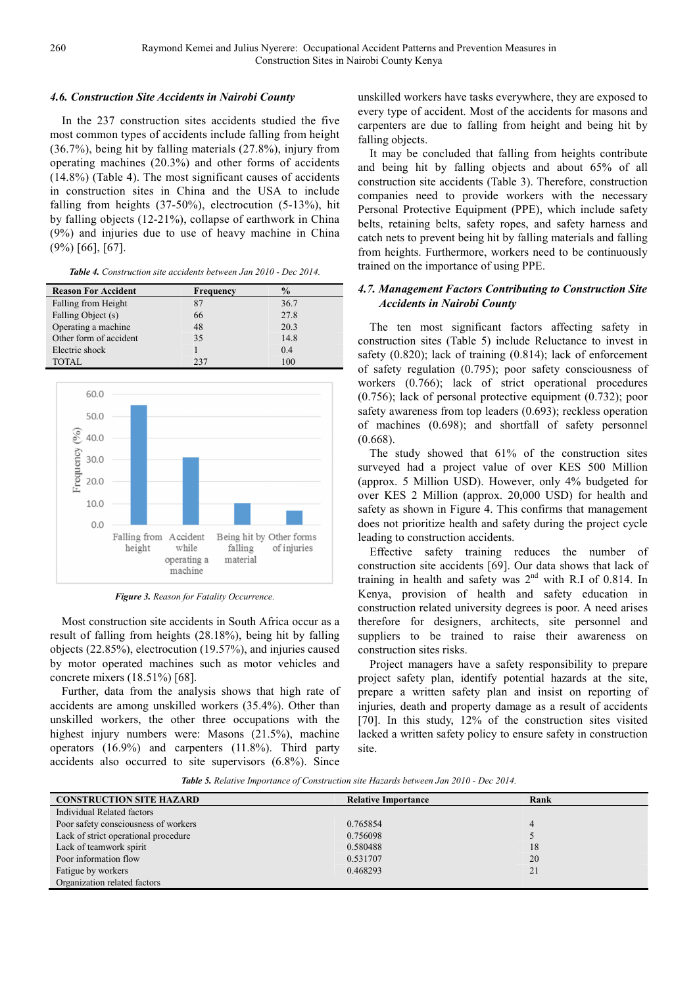### *4.6. Construction Site Accidents in Nairobi County*

In the 237 construction sites accidents studied the five most common types of accidents include falling from height (36.7%), being hit by falling materials (27.8%), injury from operating machines (20.3%) and other forms of accidents (14.8%) (Table 4). The most significant causes of accidents in construction sites in China and the USA to include falling from heights (37-50%), electrocution (5-13%), hit by falling objects (12-21%), collapse of earthwork in China (9%) and injuries due to use of heavy machine in China (9%) [66], [67].

|  |  |  |  | <b>Table 4.</b> Construction site accidents between Jan 2010 - Dec 2014. |  |
|--|--|--|--|--------------------------------------------------------------------------|--|
|--|--|--|--|--------------------------------------------------------------------------|--|

| <b>Reason For Accident</b> | Frequency | $\frac{6}{9}$ |
|----------------------------|-----------|---------------|
| Falling from Height        |           | 36.7          |
| Falling Object (s)         | 66        | 27.8          |
| Operating a machine        | 48        | 20.3          |
| Other form of accident     | 35        | 14.8          |
| Electric shock             |           | 0.4           |
| TOTAL.                     | 237       | 100           |



*Figure 3. Reason for Fatality Occurrence.* 

Most construction site accidents in South Africa occur as a result of falling from heights (28.18%), being hit by falling objects (22.85%), electrocution (19.57%), and injuries caused by motor operated machines such as motor vehicles and concrete mixers (18.51%) [68].

Further, data from the analysis shows that high rate of accidents are among unskilled workers (35.4%). Other than unskilled workers, the other three occupations with the highest injury numbers were: Masons (21.5%), machine operators (16.9%) and carpenters (11.8%). Third party accidents also occurred to site supervisors (6.8%). Since

unskilled workers have tasks everywhere, they are exposed to every type of accident. Most of the accidents for masons and carpenters are due to falling from height and being hit by falling objects.

It may be concluded that falling from heights contribute and being hit by falling objects and about 65% of all construction site accidents (Table 3). Therefore, construction companies need to provide workers with the necessary Personal Protective Equipment (PPE), which include safety belts, retaining belts, safety ropes, and safety harness and catch nets to prevent being hit by falling materials and falling from heights. Furthermore, workers need to be continuously trained on the importance of using PPE.

## *4.7. Management Factors Contributing to Construction Site Accidents in Nairobi County*

The ten most significant factors affecting safety in construction sites (Table 5) include Reluctance to invest in safety (0.820); lack of training (0.814); lack of enforcement of safety regulation (0.795); poor safety consciousness of workers (0.766); lack of strict operational procedures (0.756); lack of personal protective equipment (0.732); poor safety awareness from top leaders (0.693); reckless operation of machines (0.698); and shortfall of safety personnel (0.668).

The study showed that 61% of the construction sites surveyed had a project value of over KES 500 Million (approx. 5 Million USD). However, only 4% budgeted for over KES 2 Million (approx. 20,000 USD) for health and safety as shown in Figure 4. This confirms that management does not prioritize health and safety during the project cycle leading to construction accidents.

Effective safety training reduces the number of construction site accidents [69]. Our data shows that lack of training in health and safety was  $2<sup>nd</sup>$  with R.I of 0.814. In Kenya, provision of health and safety education in construction related university degrees is poor. A need arises therefore for designers, architects, site personnel and suppliers to be trained to raise their awareness on construction sites risks.

Project managers have a safety responsibility to prepare project safety plan, identify potential hazards at the site, prepare a written safety plan and insist on reporting of injuries, death and property damage as a result of accidents [70]. In this study, 12% of the construction sites visited lacked a written safety policy to ensure safety in construction site.

*Table 5. Relative Importance of Construction site Hazards between Jan 2010 - Dec 2014.* 

| <b>CONSTRUCTION SITE HAZARD</b>      | <b>Relative Importance</b> | Rank |
|--------------------------------------|----------------------------|------|
| Individual Related factors           |                            |      |
| Poor safety consciousness of workers | 0.765854                   |      |
| Lack of strict operational procedure | 0.756098                   |      |
| Lack of teamwork spirit              | 0.580488                   | 18   |
| Poor information flow                | 0.531707                   | 20   |
| Fatigue by workers                   | 0.468293                   | 21   |
| Organization related factors         |                            |      |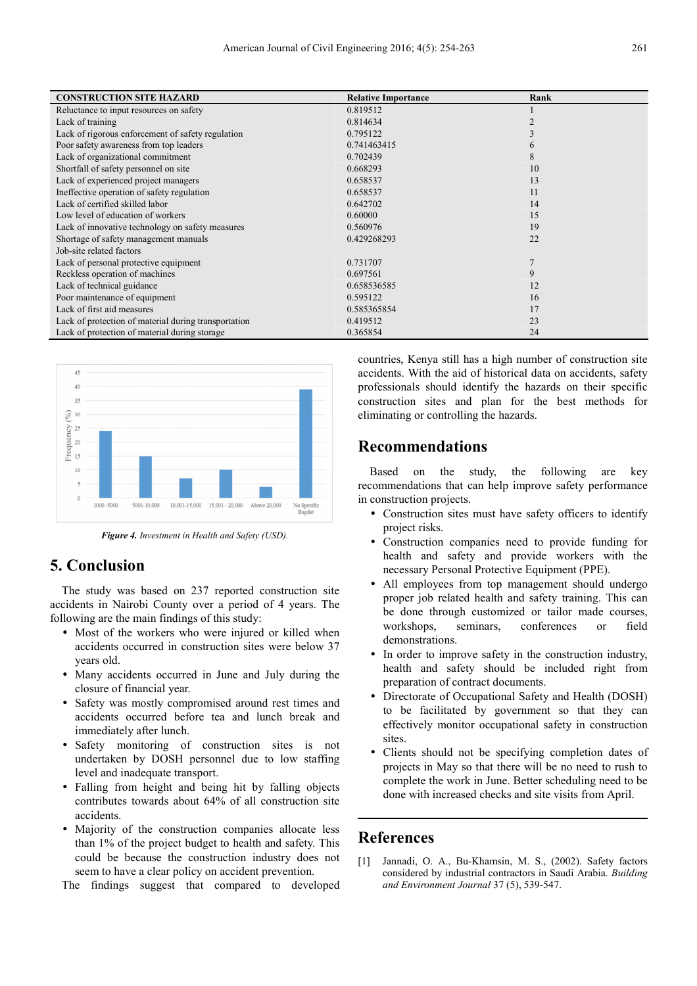| <b>CONSTRUCTION SITE HAZARD</b>                      | <b>Relative Importance</b> | Rank |
|------------------------------------------------------|----------------------------|------|
| Reluctance to input resources on safety              | 0.819512                   |      |
| Lack of training                                     | 0.814634                   |      |
| Lack of rigorous enforcement of safety regulation    | 0.795122                   |      |
| Poor safety awareness from top leaders               | 0.741463415                |      |
| Lack of organizational commitment                    | 0.702439                   | 8    |
| Shortfall of safety personnel on site                | 0.668293                   | 10   |
| Lack of experienced project managers                 | 0.658537                   | 13   |
| Ineffective operation of safety regulation           | 0.658537                   | 11   |
| Lack of certified skilled labor                      | 0.642702                   | 14   |
| Low level of education of workers                    | 0.60000                    | 15   |
| Lack of innovative technology on safety measures     | 0.560976                   | 19   |
| Shortage of safety management manuals                | 0.429268293                | 22   |
| Job-site related factors                             |                            |      |
| Lack of personal protective equipment                | 0.731707                   |      |
| Reckless operation of machines                       | 0.697561                   | 9    |
| Lack of technical guidance                           | 0.658536585                | 12   |
| Poor maintenance of equipment                        | 0.595122                   | 16   |
| Lack of first aid measures                           | 0.585365854                | 17   |
| Lack of protection of material during transportation | 0.419512                   | 23   |
| Lack of protection of material during storage        | 0.365854                   | 24   |



*Figure 4. Investment in Health and Safety (USD).* 

# **5. Conclusion**

The study was based on 237 reported construction site accidents in Nairobi County over a period of 4 years. The following are the main findings of this study:

- Most of the workers who were injured or killed when accidents occurred in construction sites were below 37 years old.
- Many accidents occurred in June and July during the closure of financial year.
- Safety was mostly compromised around rest times and accidents occurred before tea and lunch break and immediately after lunch.
- Safety monitoring of construction sites is not undertaken by DOSH personnel due to low staffing level and inadequate transport.
- Falling from height and being hit by falling objects contributes towards about 64% of all construction site accidents.
- Majority of the construction companies allocate less than 1% of the project budget to health and safety. This could be because the construction industry does not seem to have a clear policy on accident prevention.

The findings suggest that compared to developed

countries, Kenya still has a high number of construction site accidents. With the aid of historical data on accidents, safety professionals should identify the hazards on their specific construction sites and plan for the best methods for eliminating or controlling the hazards.

## **Recommendations**

Based on the study, the following are key recommendations that can help improve safety performance in construction projects.

- Construction sites must have safety officers to identify project risks.
- Construction companies need to provide funding for health and safety and provide workers with the necessary Personal Protective Equipment (PPE).
- All employees from top management should undergo proper job related health and safety training. This can be done through customized or tailor made courses. workshops, seminars, conferences or field demonstrations.
- In order to improve safety in the construction industry, health and safety should be included right from preparation of contract documents.
- Directorate of Occupational Safety and Health (DOSH) to be facilitated by government so that they can effectively monitor occupational safety in construction sites.
- Clients should not be specifying completion dates of projects in May so that there will be no need to rush to complete the work in June. Better scheduling need to be done with increased checks and site visits from April.

# **References**

[1] Jannadi, O. A., Bu-Khamsin, M. S., (2002). Safety factors considered by industrial contractors in Saudi Arabia. *Building and Environment Journal* 37 (5), 539-547.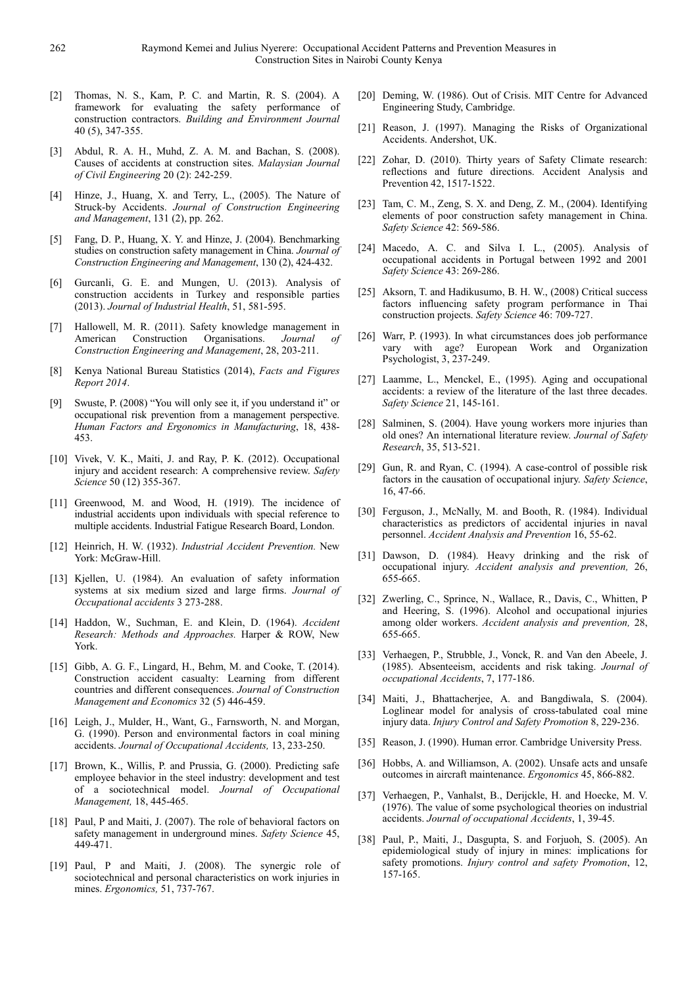- [2] Thomas, N. S., Kam, P. C. and Martin, R. S. (2004). A framework for evaluating the safety performance of construction contractors. *Building and Environment Journal* 40 (5), 347-355.
- [3] Abdul, R. A. H., Muhd, Z. A. M. and Bachan, S. (2008). Causes of accidents at construction sites. *Malaysian Journal of Civil Engineering* 20 (2): 242-259.
- [4] Hinze, J., Huang, X. and Terry, L., (2005). The Nature of Struck-by Accidents. *Journal of Construction Engineering and Management*, 131 (2), pp. 262.
- [5] Fang, D. P., Huang, X. Y. and Hinze, J. (2004). Benchmarking studies on construction safety management in China. *Journal of Construction Engineering and Management*, 130 (2), 424-432.
- [6] Gurcanli, G. E. and Mungen, U. (2013). Analysis of construction accidents in Turkey and responsible parties (2013). *Journal of Industrial Health*, 51, 581-595.
- [7] Hallowell, M. R. (2011). Safety knowledge management in American Construction Organisations. Journal of American Construction Organisations. *Journal of Construction Engineering and Management*, 28, 203-211.
- [8] Kenya National Bureau Statistics (2014), *Facts and Figures Report 2014*.
- Swuste, P. (2008) "You will only see it, if you understand it" or occupational risk prevention from a management perspective. *Human Factors and Ergonomics in Manufacturing*, 18, 438- 453.
- [10] Vivek, V. K., Maiti, J. and Ray, P. K. (2012). Occupational injury and accident research: A comprehensive review. *Safety Science* 50 (12) 355-367.
- [11] Greenwood, M. and Wood, H. (1919). The incidence of industrial accidents upon individuals with special reference to multiple accidents. Industrial Fatigue Research Board, London.
- [12] Heinrich, H. W. (1932). *Industrial Accident Prevention.* New York: McGraw-Hill.
- [13] Kjellen, U. (1984). An evaluation of safety information systems at six medium sized and large firms. *Journal of Occupational accidents* 3 273-288.
- [14] Haddon, W., Suchman, E. and Klein, D. (1964). *Accident Research: Methods and Approaches.* Harper & ROW, New York.
- [15] Gibb, A. G. F., Lingard, H., Behm, M. and Cooke, T. (2014). Construction accident casualty: Learning from different countries and different consequences. *Journal of Construction Management and Economics* 32 (5) 446-459.
- [16] Leigh, J., Mulder, H., Want, G., Farnsworth, N. and Morgan, G. (1990). Person and environmental factors in coal mining accidents. *Journal of Occupational Accidents,* 13, 233-250.
- [17] Brown, K., Willis, P. and Prussia, G. (2000). Predicting safe employee behavior in the steel industry: development and test of a sociotechnical model. *Journal of Occupational Management,* 18, 445-465.
- [18] Paul, P and Maiti, J. (2007). The role of behavioral factors on safety management in underground mines. *Safety Science* 45, 449-471.
- [19] Paul, P and Maiti, J. (2008). The synergic role of sociotechnical and personal characteristics on work injuries in mines. *Ergonomics,* 51, 737-767.
- [20] Deming, W. (1986). Out of Crisis. MIT Centre for Advanced Engineering Study, Cambridge.
- [21] Reason, J. (1997). Managing the Risks of Organizational Accidents. Andershot, UK.
- [22] Zohar, D. (2010). Thirty years of Safety Climate research: reflections and future directions. Accident Analysis and Prevention 42, 1517-1522.
- [23] Tam, C. M., Zeng, S. X. and Deng, Z. M., (2004). Identifying elements of poor construction safety management in China. *Safety Science* 42: 569-586.
- [24] Macedo, A. C. and Silva I. L., (2005). Analysis of occupational accidents in Portugal between 1992 and 2001 *Safety Science* 43: 269-286.
- [25] Aksorn, T. and Hadikusumo, B. H. W., (2008) Critical success factors influencing safety program performance in Thai construction projects. *Safety Science* 46: 709-727.
- [26] Warr, P. (1993). In what circumstances does job performance vary with age? European Work and Organization Psychologist, 3, 237-249.
- [27] Laamme, L., Menckel, E., (1995). Aging and occupational accidents: a review of the literature of the last three decades. *Safety Science* 21, 145-161.
- [28] Salminen, S. (2004). Have young workers more injuries than old ones? An international literature review. *Journal of Safety Research*, 35, 513-521.
- [29] Gun, R. and Ryan, C. (1994). A case-control of possible risk factors in the causation of occupational injury. *Safety Science*, 16, 47-66.
- [30] Ferguson, J., McNally, M. and Booth, R. (1984). Individual characteristics as predictors of accidental injuries in naval personnel. *Accident Analysis and Prevention* 16, 55-62.
- [31] Dawson, D. (1984). Heavy drinking and the risk of occupational injury. *Accident analysis and prevention,* 26, 655-665.
- [32] Zwerling, C., Sprince, N., Wallace, R., Davis, C., Whitten, P and Heering, S. (1996). Alcohol and occupational injuries among older workers. *Accident analysis and prevention,* 28, 655-665.
- [33] Verhaegen, P., Strubble, J., Vonck, R. and Van den Abeele, J. (1985). Absenteeism, accidents and risk taking. *Journal of occupational Accidents*, 7, 177-186.
- [34] Maiti, J., Bhattacherjee, A. and Bangdiwala, S. (2004). Loglinear model for analysis of cross-tabulated coal mine injury data. *Injury Control and Safety Promotion* 8, 229-236.
- [35] Reason, J. (1990). Human error. Cambridge University Press.
- [36] Hobbs, A. and Williamson, A. (2002). Unsafe acts and unsafe outcomes in aircraft maintenance. *Ergonomics* 45, 866-882.
- [37] Verhaegen, P., Vanhalst, B., Derijckle, H. and Hoecke, M. V. (1976). The value of some psychological theories on industrial accidents. *Journal of occupational Accidents*, 1, 39-45.
- [38] Paul, P., Maiti, J., Dasgupta, S. and Forjuoh, S. (2005). An epidemiological study of injury in mines: implications for safety promotions. *Injury control and safety Promotion*, 12, 157-165.